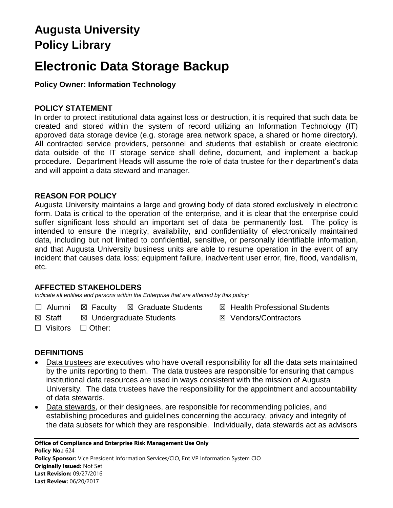# **Augusta University Policy Library**

# **Electronic Data Storage Backup**

# **Policy Owner: Information Technology**

## **POLICY STATEMENT**

In order to protect institutional data against loss or destruction, it is required that such data be created and stored within the system of record utilizing an Information Technology (IT) approved data storage device (e.g. storage area network space, a shared or home directory). All contracted service providers, personnel and students that establish or create electronic data outside of the IT storage service shall define, document, and implement a backup procedure. Department Heads will assume the role of data trustee for their department's data and will appoint a data steward and manager.

### **REASON FOR POLICY**

Augusta University maintains a large and growing body of data stored exclusively in electronic form. Data is critical to the operation of the enterprise, and it is clear that the enterprise could suffer significant loss should an important set of data be permanently lost. The policy is intended to ensure the integrity, availability, and confidentiality of electronically maintained data, including but not limited to confidential, sensitive, or personally identifiable information, and that Augusta University business units are able to resume operation in the event of any incident that causes data loss; equipment failure, inadvertent user error, fire, flood, vandalism, etc.

#### **AFFECTED STAKEHOLDERS**

*Indicate all entities and persons within the Enterprise that are affected by this policy:* 

- ☐ Alumni ☒ Faculty ☒ Graduate Students ☒ Health Professional Students
	-
- **⊠** Staff *⊠* **Undergraduate Students <b>I M** Vendors/Contractors
- 

☐ Visitors ☐ Other:

# **DEFINITIONS**

- Data trustees are executives who have overall responsibility for all the data sets maintained by the units reporting to them. The data trustees are responsible for ensuring that campus institutional data resources are used in ways consistent with the mission of Augusta University. The data trustees have the responsibility for the appointment and accountability of data stewards.
- Data stewards, or their designees, are responsible for recommending policies, and establishing procedures and guidelines concerning the accuracy, privacy and integrity of the data subsets for which they are responsible. Individually, data stewards act as advisors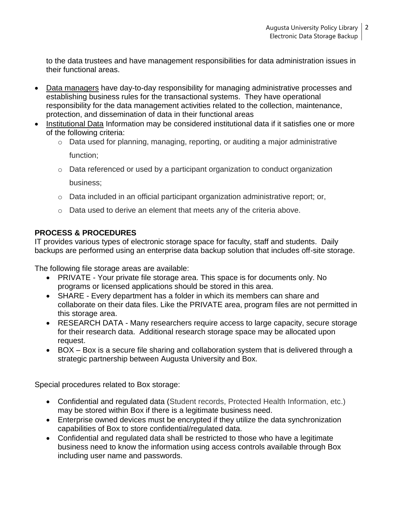to the data trustees and have management responsibilities for data administration issues in their functional areas.

- Data managers have day-to-day responsibility for managing administrative processes and establishing business rules for the transactional systems. They have operational responsibility for the data management activities related to the collection, maintenance, protection, and dissemination of data in their functional areas
- Institutional Data Information may be considered institutional data if it satisfies one or more of the following criteria:
	- o Data used for planning, managing, reporting, or auditing a major administrative function;
	- o Data referenced or used by a participant organization to conduct organization business;
	- o Data included in an official participant organization administrative report; or,
	- $\circ$  Data used to derive an element that meets any of the criteria above.

# **PROCESS & PROCEDURES**

IT provides various types of electronic storage space for faculty, staff and students. Daily backups are performed using an enterprise data backup solution that includes off-site storage.

The following file storage areas are available:

- PRIVATE Your private file storage area. This space is for documents only. No programs or licensed applications should be stored in this area.
- SHARE Every department has a folder in which its members can share and collaborate on their data files. Like the PRIVATE area, program files are not permitted in this storage area.
- RESEARCH DATA Many researchers require access to large capacity, secure storage for their research data. Additional research storage space may be allocated upon request.
- BOX Box is a secure file sharing and collaboration system that is delivered through a strategic partnership between Augusta University and Box.

Special procedures related to Box storage:

- Confidential and regulated data (Student records, Protected Health Information, etc.) may be stored within Box if there is a legitimate business need.
- Enterprise owned devices must be encrypted if they utilize the data synchronization capabilities of Box to store confidential/regulated data.
- Confidential and regulated data shall be restricted to those who have a legitimate business need to know the information using access controls available through Box including user name and passwords.